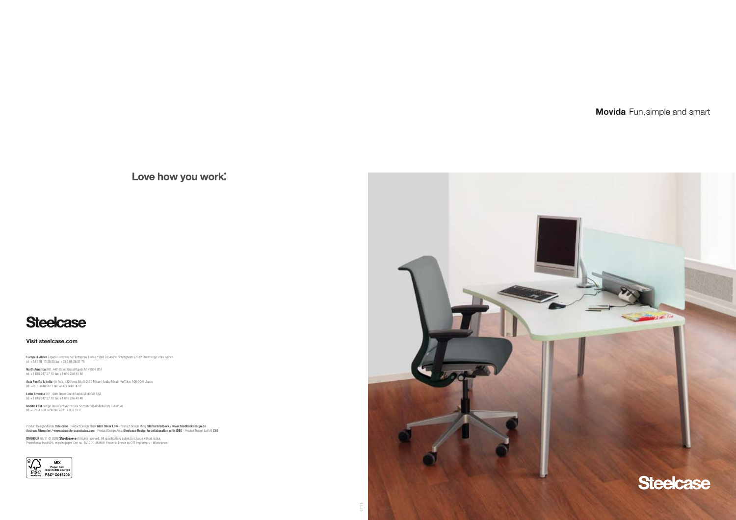

## **Movida** Fun, simple and smart

Love how you work.



**Visit steelcase.com**

**Europe & Africa** Espace Européen de l'Entreprise 1 allée d'Oslo BP 40033 Schiltigheim 67012 Strasbourg Cedex France tel: +33 3 88 13 30 30 fax: +33 3 88 28 31 78

**North America** 901, 44th Street Grand Rapids MI 49508 USA tel: +1 616 247 27 10 fax: +1 616 246 40 40

**Asia Pacific & India** 4th floor, N32 Kowa Bdg 5-2-32 Minami-Azabu Minato-Ku Tokyo 106-0047 Japan tel: +81 3 3448 9611 fax: +81 3 3448 9617

**Latin America** 901, 44th Street Grand Rapids MI 49508 USA<br>tel: +1 616 247 27 10 fax: +1 616 246 40 40

**Middle East** Design House unit A2 PO Box 502596 Dubai Media City Dubai UAE tel: +971 4 369 7838 fax: +971 4 369 7837

Product Design Movida **Steelcase** - Product Design Think **Glen Oliver Löw** - Product Design Moby **Stefan Brodbeck / www.brodbeckdesign.de**<br>**Andreas Struppler / www.strupplerassociates.com** - Product Design Amia **Steelcase** 

**DM690UK** 02/11 © 2006 **Steelcase** ® All rights reserved. All specifications subject to change without notice.<br>Printed on at least 60% recycled paper. Cert no. BV-COC-858659. Printed in France by OTT Imprimeurs – Wasselo

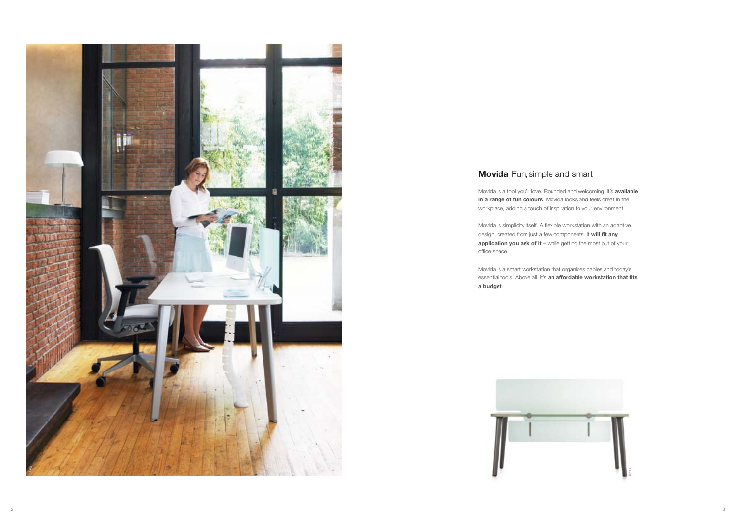



# **Movida** Fun, simple and smart

Movida is a tool you'll love. Rounded and welcoming, it's **available in a range of fun colours**. Movida looks and feels great in the workplace, adding a touch of inspiration to your environment.

Movida is simplicity itself. A flexible workstation with an adaptive

design, created from just a few components. It **will fit any application you ask of it** – while getting the most out of your office space.

Movida is a smart workstation that organises cables and today's essential tools. Above all, it's **an affordable workstation that fits a budget**.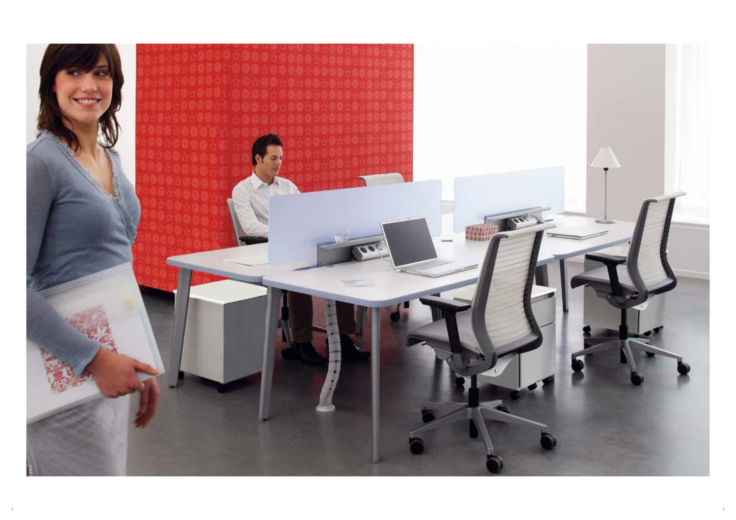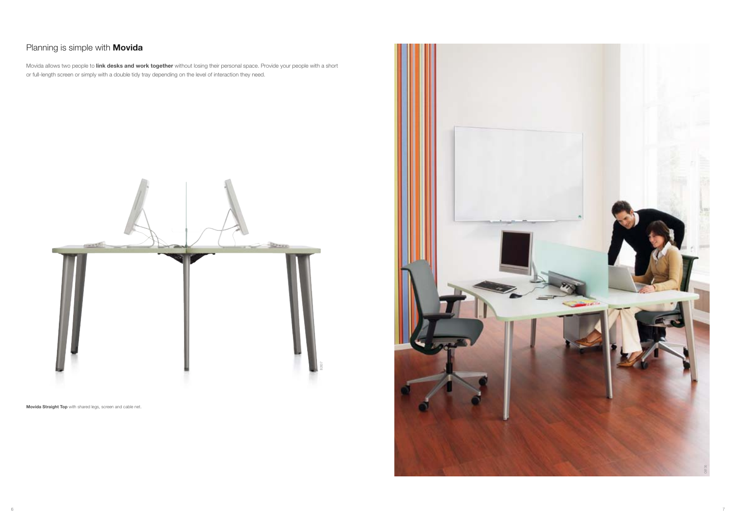

# Planning is simple with **Movida**

Movida allows two people to **link desks and work together** without losing their personal space. Provide your people with a short or full-length screen or simply with a double tidy tray depending on the level of interaction they need.



**Movida Straight Top** with shared legs, screen and cable net.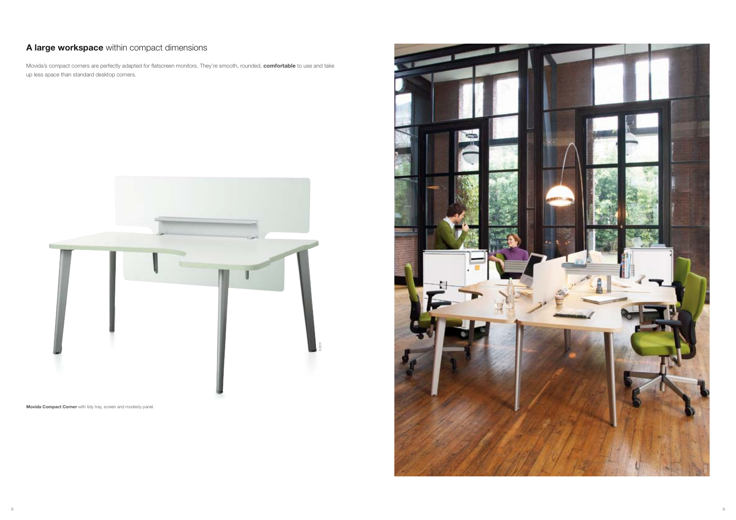# **A large workspace** within compact dimensions

Movida's compact corners are perfectly adapted for flatscreen monitors. They're smooth, rounded, **comfortable** to use and take up less space than standard desktop corners.





**Movida Compact Corner** with tidy tray, screen and modesty panel.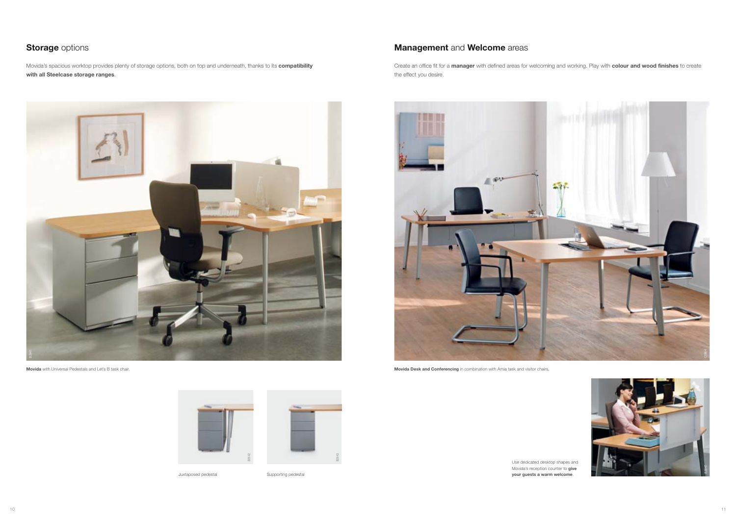

Use dedicated desktop shapes and Movida's reception counter to **give**  Juxtaposed pedestal Supporting pedestal **your guests a warm welcome**.



## **Storage** options

Movida's spacious worktop provides plenty of storage options, both on top and underneath, thanks to its **compatibility with all Steelcase storage ranges**.



**Management** and **Welcome** areas

Create an office fit for a **manager** with defined areas for welcoming and working. Play with **colour and wood finishes** to create the effect you desire.



**Movida** Desk and Conferencing in combination with Amia task and Visitor chairs.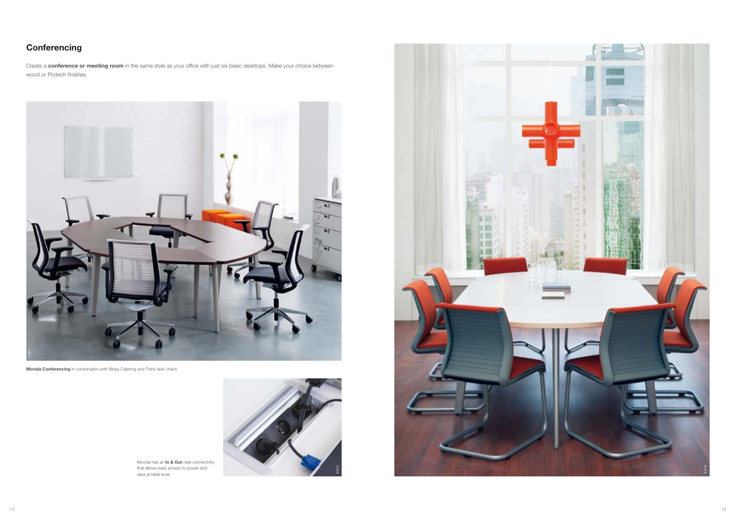Movida has an **In & Out** neat connectivity that allows easy access to power and data at table level.

# **Conferencing**



Create a **conference or meeting room** in the same style as your office with just six basic desktops. Make your choice between wood or Protech finishes.



**Movida Conferencing** in combination with Moby Catering and Think task chairs.

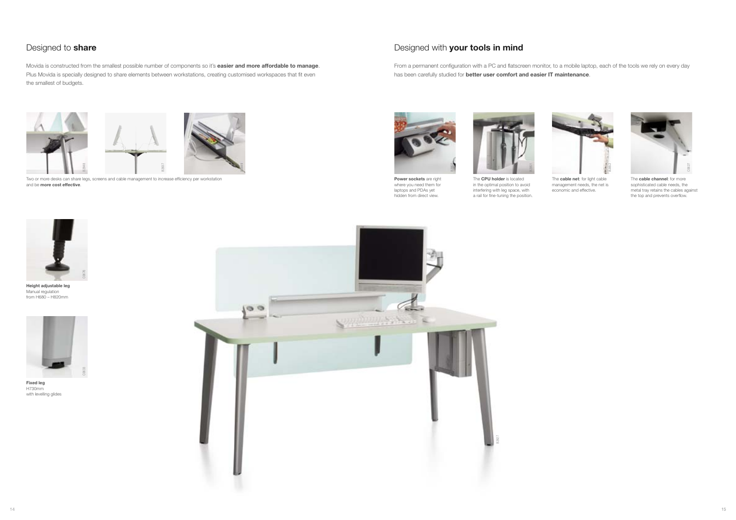

## Designed to **share**

Movida is constructed from the smallest possible number of components so it's **easier and more affordable to manage**. Plus Movida is specially designed to share elements between workstations, creating customised workspaces that fit even the smallest of budgets.



## Designed with **your tools in mind**

From a permanent configuration with a PC and flatscreen monitor, to a mobile laptop, each of the tools we rely on every day has been carefully studied for **better user comfort and easier IT maintenance**.



The **CPU holder** is located in the optimal position to avoid interfering with leg space, with a rail for fine-tuning the position.





The **cable net**: for light cable management needs, the net is economic and effective.



The **cable channel**: for more sophisticated cable needs, the metal tray retains the cables against the top and prevents overflow.



**Height adjustable leg** Manual regulation from H680 – H820mm



**Fixed leg** H730mm with levelling glides



where you need them for laptops and PDAs yet hidden from direct view.

Two or more desks can share legs, screens and cable management to increase efficiency per workstation and be **more cost effective**.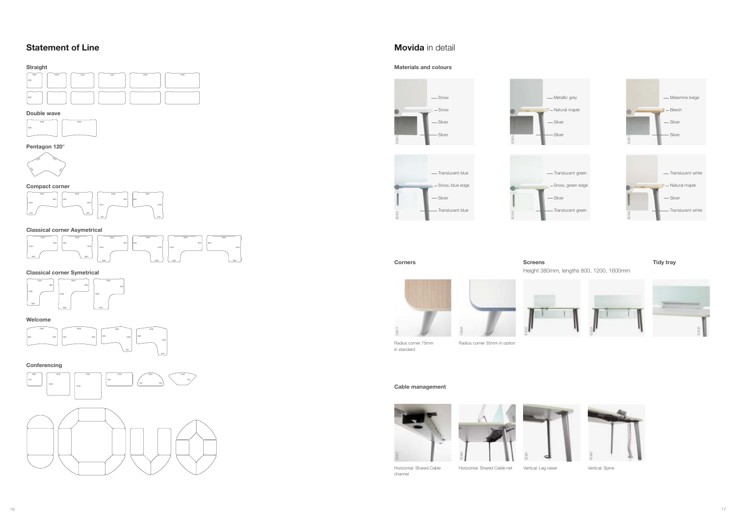











## **Statement of Line**

### **Cable management**







**Corners Screens**





Height 380mm, lengths 800, 1200, 1600mm











## **Tidy tray**

Horizontal: Shared Cable channel

Horizontal: Shared Cable net Vertical: Leg raiser Vertical: Spine

-Metallic grey

**Natural maple** 

 $Cihwr$ 

-Translucent green

- Snow, green edge

Radius corner 75mm in standard

Radius corner 35mm in option

## **Classical corner Symetrical**

### **Welcome**

## **Conferencing**

## **Movida** in detail





Silver

Translucent green